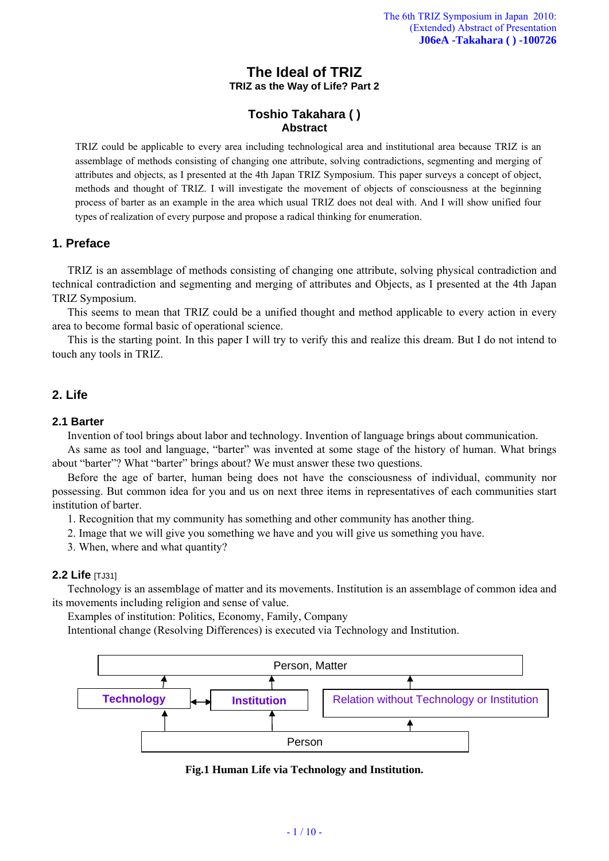# **The Ideal of TRIZ TRIZ as the Way of Life? Part 2**

# **Toshio Takahara ( ) Abstract**

TRIZ could be applicable to every area including technological area and institutional area because TRIZ is an assemblage of methods consisting of changing one attribute, solving contradictions, segmenting and merging of attributes and objects, as I presented at the 4th Japan TRIZ Symposium. This paper surveys a concept of object, methods and thought of TRIZ. I will investigate the movement of objects of consciousness at the beginning process of barter as an example in the area which usual TRIZ does not deal with. And I will show unified four types of realization of every purpose and propose a radical thinking for enumeration.

# **1. Preface**

TRIZ is an assemblage of methods consisting of changing one attribute, solving physical contradiction and technical contradiction and segmenting and merging of attributes and Objects, as I presented at the 4th Japan TRIZ Symposium.

This seems to mean that TRIZ could be a unified thought and method applicable to every action in every area to become formal basic of operational science.

This is the starting point. In this paper I will try to verify this and realize this dream. But I do not intend to touch any tools in TRIZ.

# **2. Life**

# **2.1 Barter**

Invention of tool brings about labor and technology. Invention of language brings about communication.

As same as tool and language, "barter" was invented at some stage of the history of human. What brings about "barter"? What "barter" brings about? We must answer these two questions.

Before the age of barter, human being does not have the consciousness of individual, community nor possessing. But common idea for you and us on next three items in representatives of each communities start institution of barter.

- 1. Recognition that my community has something and other community has another thing.
- 2. Image that we will give you something we have and you will give us something you have.
- 3. When, where and what quantity?

# **2.2 Life** [TJ31]

Technology is an assemblage of matter and its movements. Institution is an assemblage of common idea and its movements including religion and sense of value.

Examples of institution: Politics, Economy, Family, Company

Intentional change (Resolving Differences) is executed via Technology and Institution.



**Fig.1 Human Life via Technology and Institution.**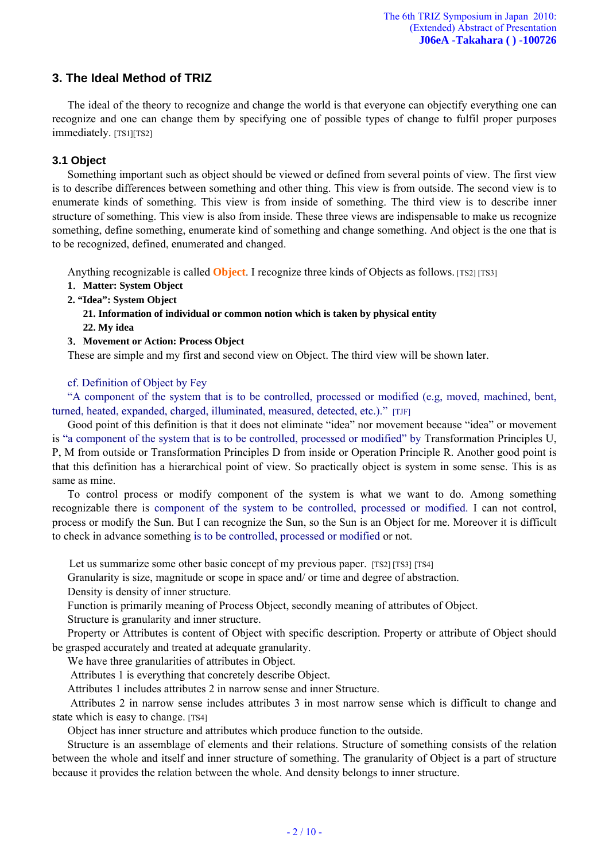# **3. The Ideal Method of TRIZ**

The ideal of the theory to recognize and change the world is that everyone can objectify everything one can recognize and one can change them by specifying one of possible types of change to fulfil proper purposes immediately. [TS1][TS2]

# **3.1 Object**

Something important such as object should be viewed or defined from several points of view. The first view is to describe differences between something and other thing. This view is from outside. The second view is to enumerate kinds of something. This view is from inside of something. The third view is to describe inner structure of something. This view is also from inside. These three views are indispensable to make us recognize something, define something, enumerate kind of something and change something. And object is the one that is to be recognized, defined, enumerated and changed.

Anything recognizable is called **Object**. I recognize three kinds of Objects as follows. [TS2] [TS3]

- **1**.**Matter: System Object**
- **2. "Idea": System Object**

**21. Information of individual or common notion which is taken by physical entity** 

**22. My idea** 

**3**.**Movement or Action: Process Object** 

These are simple and my first and second view on Object. The third view will be shown later.

## cf. Definition of Object by Fey

"A component of the system that is to be controlled, processed or modified (e.g, moved, machined, bent, turned, heated, expanded, charged, illuminated, measured, detected, etc.)." [TJF]

Good point of this definition is that it does not eliminate "idea" nor movement because "idea" or movement is "a component of the system that is to be controlled, processed or modified" by Transformation Principles U, P, M from outside or Transformation Principles D from inside or Operation Principle R. Another good point is that this definition has a hierarchical point of view. So practically object is system in some sense. This is as same as mine.

To control process or modify component of the system is what we want to do. Among something recognizable there is component of the system to be controlled, processed or modified. I can not control, process or modify the Sun. But I can recognize the Sun, so the Sun is an Object for me. Moreover it is difficult to check in advance something is to be controlled, processed or modified or not.

Let us summarize some other basic concept of my previous paper. [TS2] [TS3] [TS4]

Granularity is size, magnitude or scope in space and/ or time and degree of abstraction.

Density is density of inner structure.

Function is primarily meaning of Process Object, secondly meaning of attributes of Object.

Structure is granularity and inner structure.

Property or Attributes is content of Object with specific description. Property or attribute of Object should be grasped accurately and treated at adequate granularity.

We have three granularities of attributes in Object.

Attributes 1 is everything that concretely describe Object.

Attributes 1 includes attributes 2 in narrow sense and inner Structure.

 Attributes 2 in narrow sense includes attributes 3 in most narrow sense which is difficult to change and state which is easy to change. [TS4]

Object has inner structure and attributes which produce function to the outside.

Structure is an assemblage of elements and their relations. Structure of something consists of the relation between the whole and itself and inner structure of something. The granularity of Object is a part of structure because it provides the relation between the whole. And density belongs to inner structure.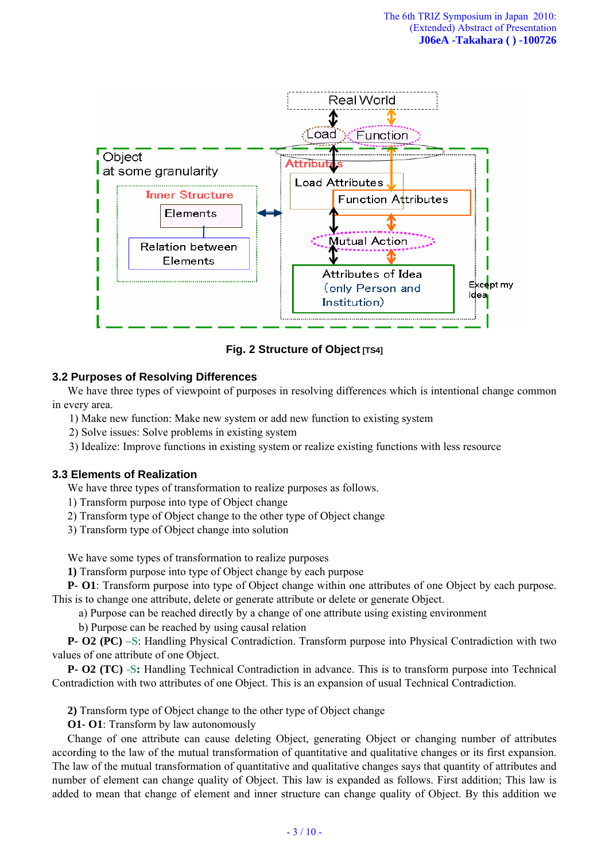

**Fig. 2 Structure of Object [TS4]** 

## **3.2 Purposes of Resolving Differences**

We have three types of viewpoint of purposes in resolving differences which is intentional change common in every area.

1) Make new function: Make new system or add new function to existing system

2) Solve issues: Solve problems in existing system

3) Idealize: Improve functions in existing system or realize existing functions with less resource

### **3.3 Elements of Realization**

We have three types of transformation to realize purposes as follows.

- 1) Transform purpose into type of Object change
- 2) Transform type of Object change to the other type of Object change
- 3) Transform type of Object change into solution

We have some types of transformation to realize purposes

**1)** Transform purpose into type of Object change by each purpose

**P- O1**: Transform purpose into type of Object change within one attributes of one Object by each purpose. This is to change one attribute, delete or generate attribute or delete or generate Object.

a) Purpose can be reached directly by a change of one attribute using existing environment

b) Purpose can be reached by using causal relation

**P- O2 (PC) –S**: Handling Physical Contradiction. Transform purpose into Physical Contradiction with two values of one attribute of one Object.

**P- O2 (TC) -S:** Handling Technical Contradiction in advance. This is to transform purpose into Technical Contradiction with two attributes of one Object. This is an expansion of usual Technical Contradiction.

**2)** Transform type of Object change to the other type of Object change

**O1- O1**: Transform by law autonomously

Change of one attribute can cause deleting Object, generating Object or changing number of attributes according to the law of the mutual transformation of quantitative and qualitative changes or its first expansion. The law of the mutual transformation of quantitative and qualitative changes says that quantity of attributes and number of element can change quality of Object. This law is expanded as follows. First addition; This law is added to mean that change of element and inner structure can change quality of Object. By this addition we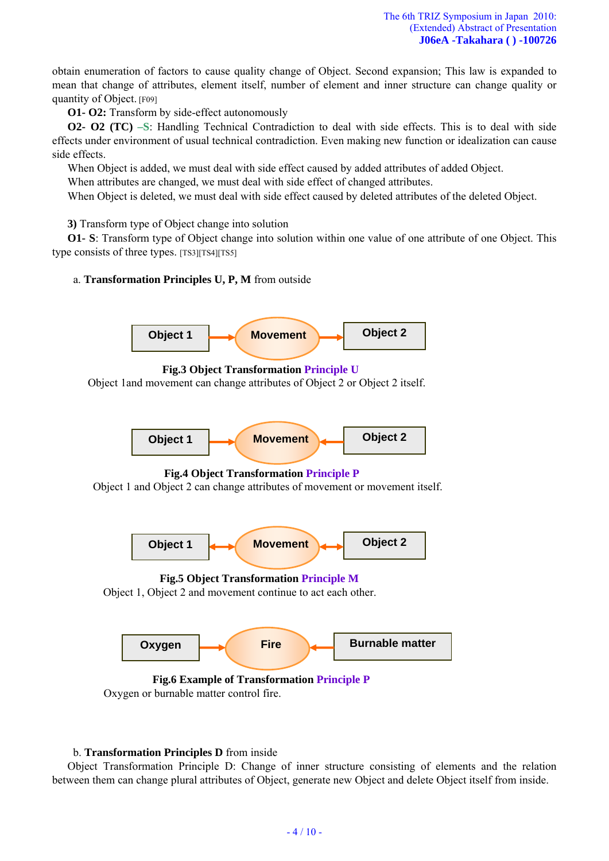obtain enumeration of factors to cause quality change of Object. Second expansion; This law is expanded to mean that change of attributes, element itself, number of element and inner structure can change quality or quantity of Object. [F09]

**O1- O2:** Transform by side-effect autonomously

**O2- O2 (TC) –S**: Handling Technical Contradiction to deal with side effects. This is to deal with side effects under environment of usual technical contradiction. Even making new function or idealization can cause side effects.

When Object is added, we must deal with side effect caused by added attributes of added Object.

When attributes are changed, we must deal with side effect of changed attributes.

When Object is deleted, we must deal with side effect caused by deleted attributes of the deleted Object.

**3)** Transform type of Object change into solution

**O1- S**: Transform type of Object change into solution within one value of one attribute of one Object. This type consists of three types. [TS3][TS4][TS5]

# a. **Transformation Principles U, P, M** from outside



 **Fig.6 Example of Transformation Principle P**  Oxygen or burnable matter control fire.

### b. **Transformation Principles D** from inside

Object Transformation Principle D: Change of inner structure consisting of elements and the relation between them can change plural attributes of Object, generate new Object and delete Object itself from inside.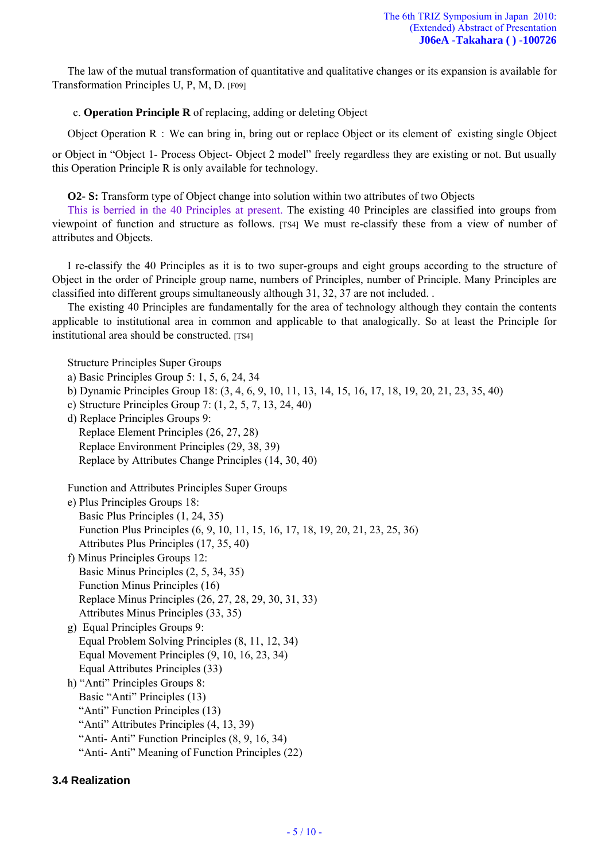The law of the mutual transformation of quantitative and qualitative changes or its expansion is available for Transformation Principles U, P, M, D. [F09]

## c. **Operation Principle R** of replacing, adding or deleting Object

Object Operation R : We can bring in, bring out or replace Object or its element of existing single Object

or Object in "Object 1- Process Object- Object 2 model" freely regardless they are existing or not. But usually this Operation Principle R is only available for technology.

**O2- S:** Transform type of Object change into solution within two attributes of two Objects

This is berried in the 40 Principles at present. The existing 40 Principles are classified into groups from viewpoint of function and structure as follows. [TS4] We must re-classify these from a view of number of attributes and Objects.

I re-classify the 40 Principles as it is to two super-groups and eight groups according to the structure of Object in the order of Principle group name, numbers of Principles, number of Principle. Many Principles are classified into different groups simultaneously although 31, 32, 37 are not included. .

The existing 40 Principles are fundamentally for the area of technology although they contain the contents applicable to institutional area in common and applicable to that analogically. So at least the Principle for institutional area should be constructed. [TS4]

Structure Principles Super Groups a) Basic Principles Group 5: 1, 5, 6, 24, 34 b) Dynamic Principles Group 18: (3, 4, 6, 9, 10, 11, 13, 14, 15, 16, 17, 18, 19, 20, 21, 23, 35, 40) c) Structure Principles Group 7: (1, 2, 5, 7, 13, 24, 40) d) Replace Principles Groups 9: Replace Element Principles (26, 27, 28) Replace Environment Principles (29, 38, 39) Replace by Attributes Change Principles (14, 30, 40) Function and Attributes Principles Super Groups e) Plus Principles Groups 18: Basic Plus Principles (1, 24, 35) Function Plus Principles (6, 9, 10, 11, 15, 16, 17, 18, 19, 20, 21, 23, 25, 36) Attributes Plus Principles (17, 35, 40) f) Minus Principles Groups 12: Basic Minus Principles (2, 5, 34, 35) Function Minus Principles (16) Replace Minus Principles (26, 27, 28, 29, 30, 31, 33) Attributes Minus Principles (33, 35) g) Equal Principles Groups 9: Equal Problem Solving Principles (8, 11, 12, 34) Equal Movement Principles (9, 10, 16, 23, 34) Equal Attributes Principles (33) h) "Anti" Principles Groups 8: Basic "Anti" Principles (13) "Anti" Function Principles (13) "Anti" Attributes Principles (4, 13, 39) "Anti- Anti" Function Principles (8, 9, 16, 34) "Anti- Anti" Meaning of Function Principles (22)

# **3.4 Realization**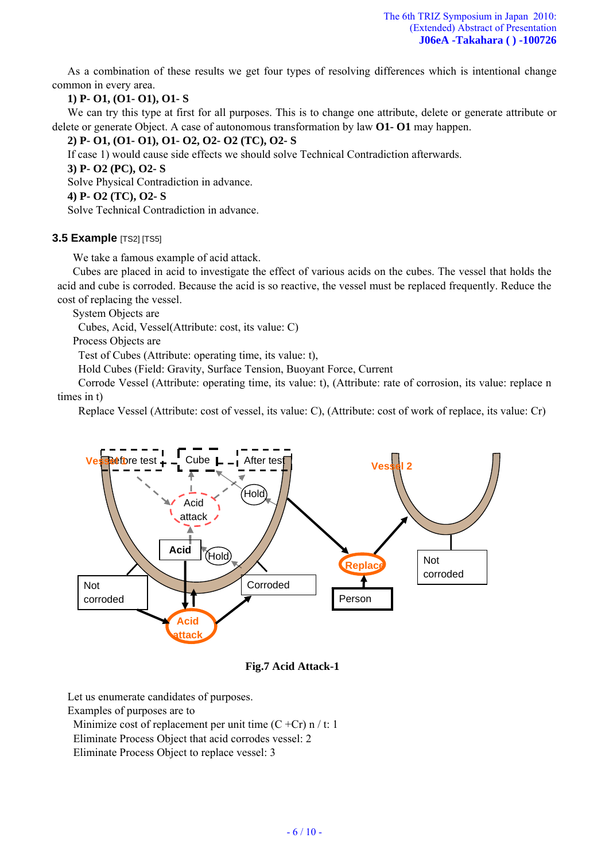As a combination of these results we get four types of resolving differences which is intentional change common in every area.

## **1) P- O1, (O1- O1), O1- S**

We can try this type at first for all purposes. This is to change one attribute, delete or generate attribute or delete or generate Object. A case of autonomous transformation by law **O1- O1** may happen.

**2) P- O1, (O1- O1), O1- O2, O2- O2 (TC), O2- S** 

If case 1) would cause side effects we should solve Technical Contradiction afterwards.

**3) P- O2 (PC), O2- S** 

Solve Physical Contradiction in advance.

**4) P- O2 (TC), O2- S** 

Solve Technical Contradiction in advance.

## **3.5 Example** [TS2] [TS5]

We take a famous example of acid attack.

Cubes are placed in acid to investigate the effect of various acids on the cubes. The vessel that holds the acid and cube is corroded. Because the acid is so reactive, the vessel must be replaced frequently. Reduce the cost of replacing the vessel.

System Objects are

Cubes, Acid, Vessel(Attribute: cost, its value: C)

Process Objects are

Test of Cubes (Attribute: operating time, its value: t),

Hold Cubes (Field: Gravity, Surface Tension, Buoyant Force, Current

Corrode Vessel (Attribute: operating time, its value: t), (Attribute: rate of corrosion, its value: replace n times in t)

Replace Vessel (Attribute: cost of vessel, its value: C), (Attribute: cost of work of replace, its value: Cr)



## **Fig.7 Acid Attack-1**

Let us enumerate candidates of purposes.

Examples of purposes are to

Minimize cost of replacement per unit time  $(C + Cr)$  n / t: 1

Eliminate Process Object that acid corrodes vessel: 2

Eliminate Process Object to replace vessel: 3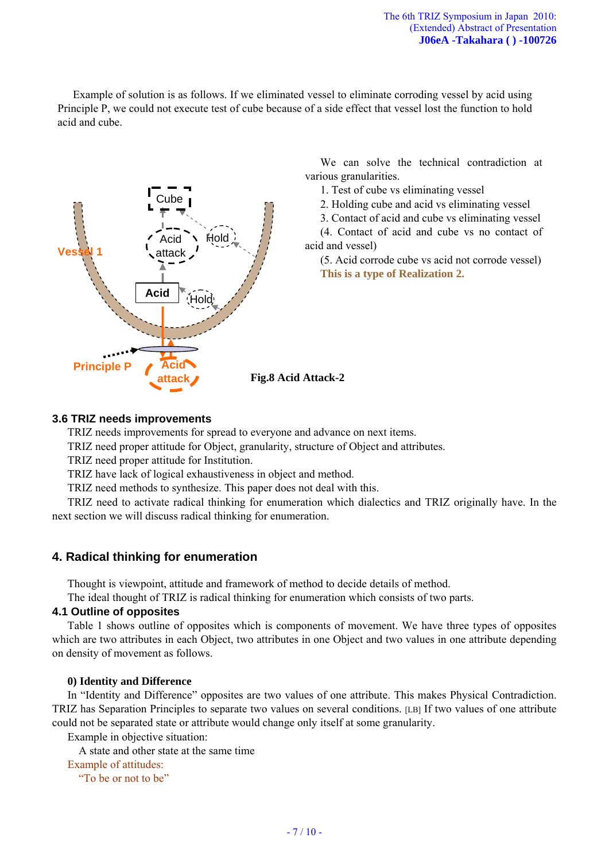Example of solution is as follows. If we eliminated vessel to eliminate corroding vessel by acid using Principle P, we could not execute test of cube because of a side effect that vessel lost the function to hold acid and cube.



We can solve the technical contradiction at various granularities.

1. Test of cube vs eliminating vessel

2. Holding cube and acid vs eliminating vessel

3. Contact of acid and cube vs eliminating vessel

(4. Contact of acid and cube vs no contact of acid and vessel)

(5. Acid corrode cube vs acid not corrode vessel) **This is a type of Realization 2.**

## **3.6 TRIZ needs improvements**

TRIZ needs improvements for spread to everyone and advance on next items.

TRIZ need proper attitude for Object, granularity, structure of Object and attributes.

TRIZ need proper attitude for Institution.

TRIZ have lack of logical exhaustiveness in object and method.

TRIZ need methods to synthesize. This paper does not deal with this.

TRIZ need to activate radical thinking for enumeration which dialectics and TRIZ originally have. In the next section we will discuss radical thinking for enumeration.

# **4. Radical thinking for enumeration**

Thought is viewpoint, attitude and framework of method to decide details of method.

The ideal thought of TRIZ is radical thinking for enumeration which consists of two parts.

### **4.1 Outline of opposites**

Table 1 shows outline of opposites which is components of movement. We have three types of opposites which are two attributes in each Object, two attributes in one Object and two values in one attribute depending on density of movement as follows.

### **0) Identity and Difference**

In "Identity and Difference" opposites are two values of one attribute. This makes Physical Contradiction. TRIZ has Separation Principles to separate two values on several conditions. [LB] If two values of one attribute could not be separated state or attribute would change only itself at some granularity.

Example in objective situation:

A state and other state at the same time

#### Example of attitudes:

"To be or not to be"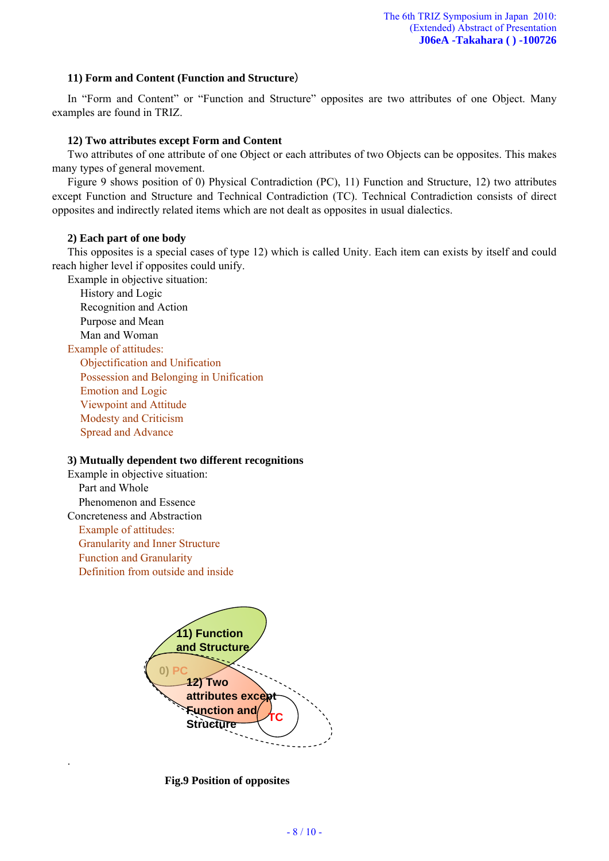### **11) Form and Content (Function and Structure**)

In "Form and Content" or "Function and Structure" opposites are two attributes of one Object. Many examples are found in TRIZ.

## **12) Two attributes except Form and Content**

Two attributes of one attribute of one Object or each attributes of two Objects can be opposites. This makes many types of general movement.

Figure 9 shows position of 0) Physical Contradiction (PC), 11) Function and Structure, 12) two attributes except Function and Structure and Technical Contradiction (TC). Technical Contradiction consists of direct opposites and indirectly related items which are not dealt as opposites in usual dialectics.

### **2) Each part of one body**

This opposites is a special cases of type 12) which is called Unity. Each item can exists by itself and could reach higher level if opposites could unify.

Example in objective situation:

History and Logic Recognition and Action Purpose and Mean Man and Woman Example of attitudes: Objectification and Unification Possession and Belonging in Unification Emotion and Logic

Viewpoint and Attitude Modesty and Criticism

Spread and Advance

### **3) Mutually dependent two different recognitions**

Example in objective situation: Part and Whole Phenomenon and Essence Concreteness and Abstraction Example of attitudes: Granularity and Inner Structure Function and Granularity Definition from outside and inside

.



**Fig.9 Position of opposites**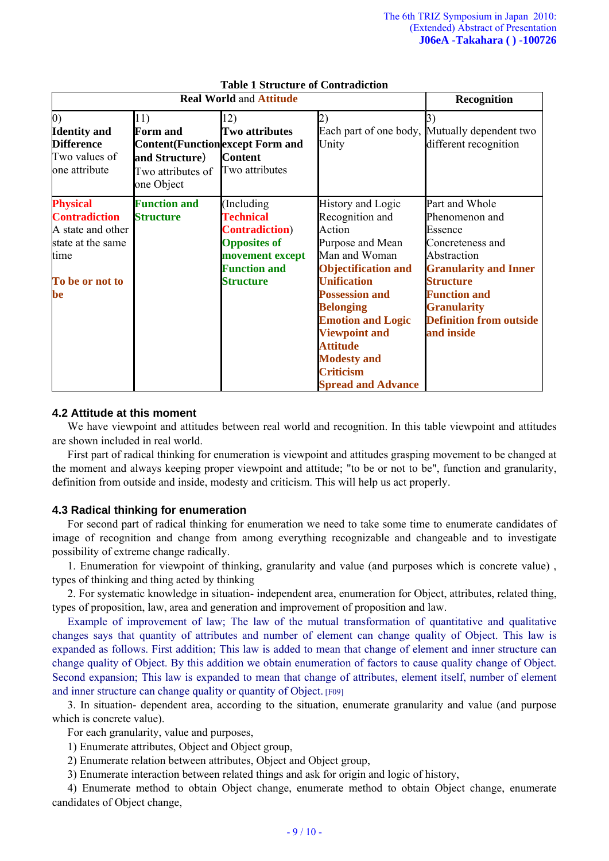| <b>Real World and Attitude</b>                                                                                     |                                                                                                                         |                                                                                                                                                |                                                                                                                                                                                                                                                                                                                                    | <b>Recognition</b>                                                                                                                                                                                                              |
|--------------------------------------------------------------------------------------------------------------------|-------------------------------------------------------------------------------------------------------------------------|------------------------------------------------------------------------------------------------------------------------------------------------|------------------------------------------------------------------------------------------------------------------------------------------------------------------------------------------------------------------------------------------------------------------------------------------------------------------------------------|---------------------------------------------------------------------------------------------------------------------------------------------------------------------------------------------------------------------------------|
| $\vert 0)$<br><b>Identity</b> and<br><b>Difference</b><br>Two values of<br>one attribute                           | 11)<br><b>Form and</b><br><b>Content</b> (Function except Form and<br>and Structure)<br>Two attributes of<br>one Object | 12)<br><b>Two attributes</b><br><b>Content</b><br>Two attributes                                                                               | Unity                                                                                                                                                                                                                                                                                                                              | 3)<br>Each part of one body, Mutually dependent two<br>different recognition                                                                                                                                                    |
| <b>Physical</b><br><b>Contradiction</b><br>A state and other<br>state at the same<br>time<br>To be or not to<br>be | <b>Function and</b><br><b>Structure</b>                                                                                 | (Including)<br><b>Technical</b><br><b>Contradiction</b> )<br><b>Opposites of</b><br>movement except<br><b>Function and</b><br><b>Structure</b> | History and Logic<br>Recognition and<br>Action<br>Purpose and Mean<br>Man and Woman<br><b>Objectification and</b><br><b>Unification</b><br><b>Possession and</b><br><b>Belonging</b><br><b>Emotion and Logic</b><br><b>Viewpoint and</b><br><b>Attitude</b><br><b>Modesty and</b><br><b>Criticism</b><br><b>Spread and Advance</b> | Part and Whole<br>Phenomenon and<br>Essence<br>Concreteness and<br>Abstraction<br><b>Granularity and Inner</b><br><b>Structure</b><br><b>Function and</b><br><b>Granularity</b><br><b>Definition from outside</b><br>and inside |

# **Table 1 Structure of Contradiction**

### **4.2 Attitude at this moment**

We have viewpoint and attitudes between real world and recognition. In this table viewpoint and attitudes are shown included in real world.

First part of radical thinking for enumeration is viewpoint and attitudes grasping movement to be changed at the moment and always keeping proper viewpoint and attitude; "to be or not to be", function and granularity, definition from outside and inside, modesty and criticism. This will help us act properly.

### **4.3 Radical thinking for enumeration**

For second part of radical thinking for enumeration we need to take some time to enumerate candidates of image of recognition and change from among everything recognizable and changeable and to investigate possibility of extreme change radically.

1. Enumeration for viewpoint of thinking, granularity and value (and purposes which is concrete value) , types of thinking and thing acted by thinking

2. For systematic knowledge in situation- independent area, enumeration for Object, attributes, related thing, types of proposition, law, area and generation and improvement of proposition and law.

Example of improvement of law; The law of the mutual transformation of quantitative and qualitative changes says that quantity of attributes and number of element can change quality of Object. This law is expanded as follows. First addition; This law is added to mean that change of element and inner structure can change quality of Object. By this addition we obtain enumeration of factors to cause quality change of Object. Second expansion; This law is expanded to mean that change of attributes, element itself, number of element and inner structure can change quality or quantity of Object. [F09]

3. In situation- dependent area, according to the situation, enumerate granularity and value (and purpose which is concrete value).

For each granularity, value and purposes,

1) Enumerate attributes, Object and Object group,

2) Enumerate relation between attributes, Object and Object group,

3) Enumerate interaction between related things and ask for origin and logic of history,

4) Enumerate method to obtain Object change, enumerate method to obtain Object change, enumerate candidates of Object change,